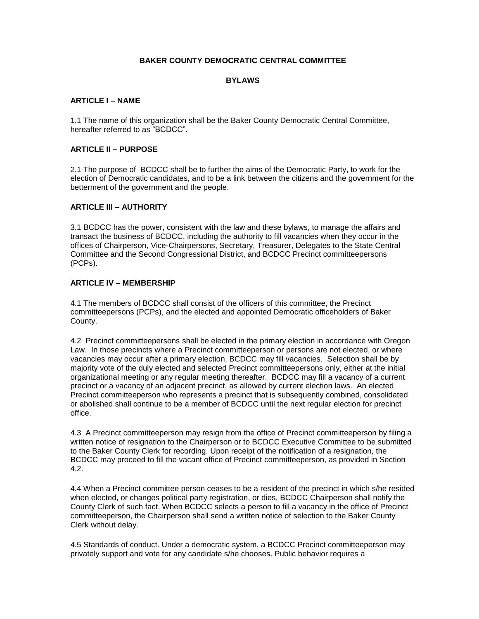### **BAKER COUNTY DEMOCRATIC CENTRAL COMMITTEE**

### **BYLAWS**

### **ARTICLE I – NAME**

1.1 The name of this organization shall be the Baker County Democratic Central Committee, hereafter referred to as "BCDCC".

#### **ARTICLE II – PURPOSE**

2.1 The purpose of BCDCC shall be to further the aims of the Democratic Party, to work for the election of Democratic candidates, and to be a link between the citizens and the government for the betterment of the government and the people.

### **ARTICLE III – AUTHORITY**

3.1 BCDCC has the power, consistent with the law and these bylaws, to manage the affairs and transact the business of BCDCC, including the authority to fill vacancies when they occur in the offices of Chairperson, Vice-Chairpersons, Secretary, Treasurer, Delegates to the State Central Committee and the Second Congressional District, and BCDCC Precinct committeepersons (PCPs).

### **ARTICLE IV – MEMBERSHIP**

4.1 The members of BCDCC shall consist of the officers of this committee, the Precinct committeepersons (PCPs), and the elected and appointed Democratic officeholders of Baker County.

4.2 Precinct committeepersons shall be elected in the primary election in accordance with Oregon Law. In those precincts where a Precinct committeeperson or persons are not elected, or where vacancies may occur after a primary election, BCDCC may fill vacancies. Selection shall be by majority vote of the duly elected and selected Precinct committeepersons only, either at the initial organizational meeting or any regular meeting thereafter. BCDCC may fill a vacancy of a current precinct or a vacancy of an adjacent precinct, as allowed by current election laws. An elected Precinct committeeperson who represents a precinct that is subsequently combined, consolidated or abolished shall continue to be a member of BCDCC until the next regular election for precinct office.

4.3 A Precinct committeeperson may resign from the office of Precinct committeeperson by filing a written notice of resignation to the Chairperson or to BCDCC Executive Committee to be submitted to the Baker County Clerk for recording. Upon receipt of the notification of a resignation, the BCDCC may proceed to fill the vacant office of Precinct committeeperson, as provided in Section 4.2.

4.4 When a Precinct committee person ceases to be a resident of the precinct in which s/he resided when elected, or changes political party registration, or dies, BCDCC Chairperson shall notify the County Clerk of such fact. When BCDCC selects a person to fill a vacancy in the office of Precinct committeeperson, the Chairperson shall send a written notice of selection to the Baker County Clerk without delay.

4.5 Standards of conduct. Under a democratic system, a BCDCC Precinct committeeperson may privately support and vote for any candidate s/he chooses. Public behavior requires a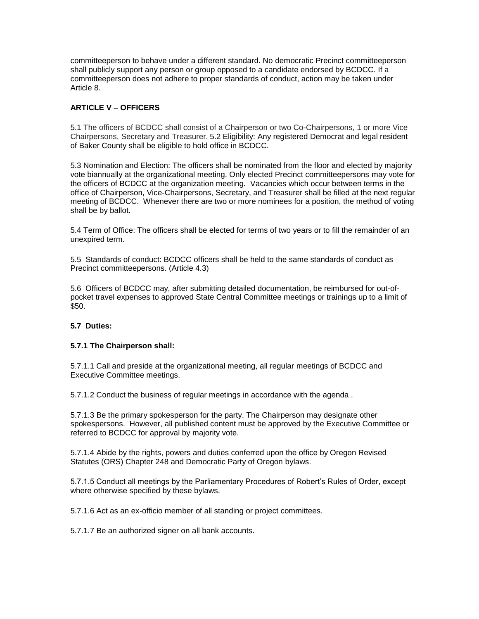committeeperson to behave under a different standard. No democratic Precinct committeeperson shall publicly support any person or group opposed to a candidate endorsed by BCDCC. If a committeeperson does not adhere to proper standards of conduct, action may be taken under Article 8.

# **ARTICLE V – OFFICERS**

5.1 The officers of BCDCC shall consist of a Chairperson or two Co-Chairpersons, 1 or more Vice Chairpersons, Secretary and Treasurer. 5.2 Eligibility: Any registered Democrat and legal resident of Baker County shall be eligible to hold office in BCDCC.

5.3 Nomination and Election: The officers shall be nominated from the floor and elected by majority vote biannually at the organizational meeting. Only elected Precinct committeepersons may vote for the officers of BCDCC at the organization meeting. Vacancies which occur between terms in the office of Chairperson, Vice-Chairpersons, Secretary, and Treasurer shall be filled at the next regular meeting of BCDCC. Whenever there are two or more nominees for a position, the method of voting shall be by ballot.

5.4 Term of Office: The officers shall be elected for terms of two years or to fill the remainder of an unexpired term.

5.5 Standards of conduct: BCDCC officers shall be held to the same standards of conduct as Precinct committeepersons. (Article 4.3)

5.6 Officers of BCDCC may, after submitting detailed documentation, be reimbursed for out-ofpocket travel expenses to approved State Central Committee meetings or trainings up to a limit of \$50.

# **5.7 Duties:**

#### **5.7.1 The Chairperson shall:**

5.7.1.1 Call and preside at the organizational meeting, all regular meetings of BCDCC and Executive Committee meetings.

5.7.1.2 Conduct the business of regular meetings in accordance with the agenda .

5.7.1.3 Be the primary spokesperson for the party. The Chairperson may designate other spokespersons. However, all published content must be approved by the Executive Committee or referred to BCDCC for approval by majority vote.

5.7.1.4 Abide by the rights, powers and duties conferred upon the office by Oregon Revised Statutes (ORS) Chapter 248 and Democratic Party of Oregon bylaws.

5.7.1.5 Conduct all meetings by the Parliamentary Procedures of Robert's Rules of Order, except where otherwise specified by these bylaws.

5.7.1.6 Act as an ex-officio member of all standing or project committees.

5.7.1.7 Be an authorized signer on all bank accounts.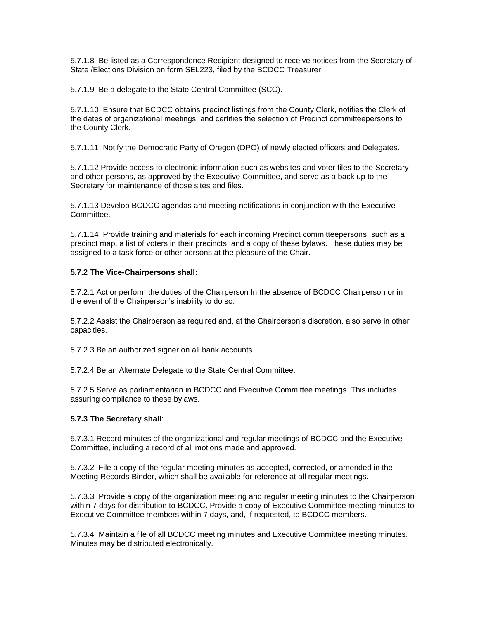5.7.1.8 Be listed as a Correspondence Recipient designed to receive notices from the Secretary of State /Elections Division on form SEL223, filed by the BCDCC Treasurer.

5.7.1.9 Be a delegate to the State Central Committee (SCC).

5.7.1.10 Ensure that BCDCC obtains precinct listings from the County Clerk, notifies the Clerk of the dates of organizational meetings, and certifies the selection of Precinct committeepersons to the County Clerk.

5.7.1.11 Notify the Democratic Party of Oregon (DPO) of newly elected officers and Delegates.

5.7.1.12 Provide access to electronic information such as websites and voter files to the Secretary and other persons, as approved by the Executive Committee, and serve as a back up to the Secretary for maintenance of those sites and files.

5.7.1.13 Develop BCDCC agendas and meeting notifications in conjunction with the Executive Committee.

5.7.1.14 Provide training and materials for each incoming Precinct committeepersons, such as a precinct map, a list of voters in their precincts, and a copy of these bylaws. These duties may be assigned to a task force or other persons at the pleasure of the Chair.

### **5.7.2 The Vice-Chairpersons shall:**

5.7.2.1 Act or perform the duties of the Chairperson In the absence of BCDCC Chairperson or in the event of the Chairperson's inability to do so.

5.7.2.2 Assist the Chairperson as required and, at the Chairperson's discretion, also serve in other capacities.

5.7.2.3 Be an authorized signer on all bank accounts.

5.7.2.4 Be an Alternate Delegate to the State Central Committee.

5.7.2.5 Serve as parliamentarian in BCDCC and Executive Committee meetings. This includes assuring compliance to these bylaws.

# **5.7.3 The Secretary shall**:

5.7.3.1 Record minutes of the organizational and regular meetings of BCDCC and the Executive Committee, including a record of all motions made and approved.

5.7.3.2 File a copy of the regular meeting minutes as accepted, corrected, or amended in the Meeting Records Binder, which shall be available for reference at all regular meetings.

5.7.3.3 Provide a copy of the organization meeting and regular meeting minutes to the Chairperson within 7 days for distribution to BCDCC. Provide a copy of Executive Committee meeting minutes to Executive Committee members within 7 days, and, if requested, to BCDCC members.

5.7.3.4 Maintain a file of all BCDCC meeting minutes and Executive Committee meeting minutes. Minutes may be distributed electronically.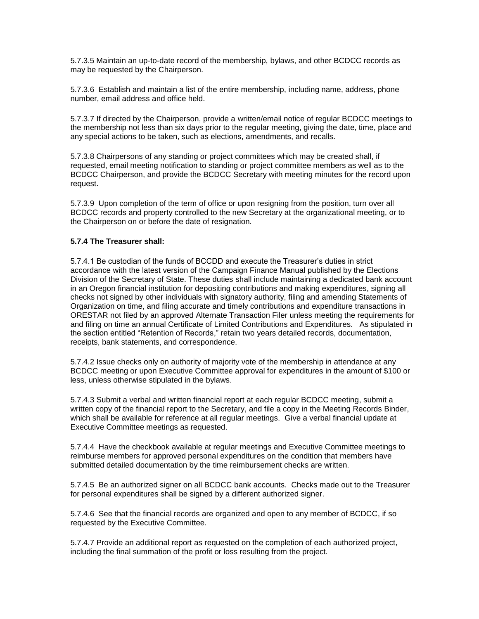5.7.3.5 Maintain an up-to-date record of the membership, bylaws, and other BCDCC records as may be requested by the Chairperson.

5.7.3.6 Establish and maintain a list of the entire membership, including name, address, phone number, email address and office held.

5.7.3.7 If directed by the Chairperson, provide a written/email notice of regular BCDCC meetings to the membership not less than six days prior to the regular meeting, giving the date, time, place and any special actions to be taken, such as elections, amendments, and recalls.

5.7.3.8 Chairpersons of any standing or project committees which may be created shall, if requested, email meeting notification to standing or project committee members as well as to the BCDCC Chairperson, and provide the BCDCC Secretary with meeting minutes for the record upon request.

5.7.3.9 Upon completion of the term of office or upon resigning from the position, turn over all BCDCC records and property controlled to the new Secretary at the organizational meeting, or to the Chairperson on or before the date of resignation.

### **5.7.4 The Treasurer shall:**

5.7.4.1 Be custodian of the funds of BCCDD and execute the Treasurer's duties in strict accordance with the latest version of the Campaign Finance Manual published by the Elections Division of the Secretary of State. These duties shall include maintaining a dedicated bank account in an Oregon financial institution for depositing contributions and making expenditures, signing all checks not signed by other individuals with signatory authority, filing and amending Statements of Organization on time, and filing accurate and timely contributions and expenditure transactions in ORESTAR not filed by an approved Alternate Transaction Filer unless meeting the requirements for and filing on time an annual Certificate of Limited Contributions and Expenditures. As stipulated in the section entitled "Retention of Records," retain two years detailed records, documentation, receipts, bank statements, and correspondence.

5.7.4.2 Issue checks only on authority of majority vote of the membership in attendance at any BCDCC meeting or upon Executive Committee approval for expenditures in the amount of \$100 or less, unless otherwise stipulated in the bylaws.

5.7.4.3 Submit a verbal and written financial report at each regular BCDCC meeting, submit a written copy of the financial report to the Secretary, and file a copy in the Meeting Records Binder, which shall be available for reference at all regular meetings. Give a verbal financial update at Executive Committee meetings as requested.

5.7.4.4 Have the checkbook available at regular meetings and Executive Committee meetings to reimburse members for approved personal expenditures on the condition that members have submitted detailed documentation by the time reimbursement checks are written.

5.7.4.5 Be an authorized signer on all BCDCC bank accounts. Checks made out to the Treasurer for personal expenditures shall be signed by a different authorized signer.

5.7.4.6 See that the financial records are organized and open to any member of BCDCC, if so requested by the Executive Committee.

5.7.4.7 Provide an additional report as requested on the completion of each authorized project, including the final summation of the profit or loss resulting from the project.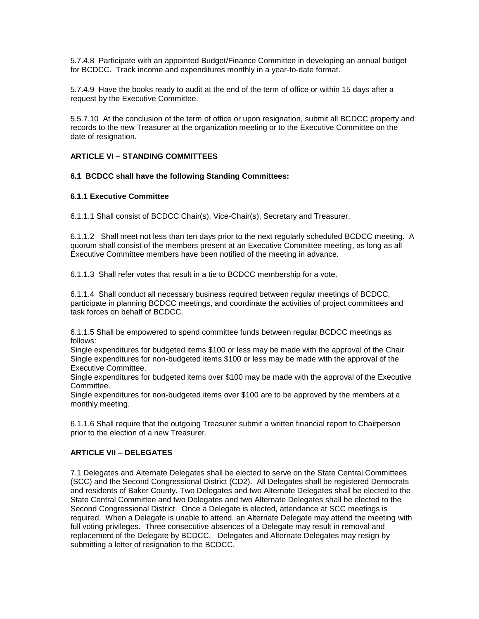5.7.4.8 Participate with an appointed Budget/Finance Committee in developing an annual budget for BCDCC. Track income and expenditures monthly in a year-to-date format.

5.7.4.9 Have the books ready to audit at the end of the term of office or within 15 days after a request by the Executive Committee.

5.5.7.10 At the conclusion of the term of office or upon resignation, submit all BCDCC property and records to the new Treasurer at the organization meeting or to the Executive Committee on the date of resignation.

### **ARTICLE VI – STANDING COMMITTEES**

### **6.1 BCDCC shall have the following Standing Committees:**

#### **6.1.1 Executive Committee**

6.1.1.1 Shall consist of BCDCC Chair(s), Vice-Chair(s), Secretary and Treasurer.

6.1.1.2 Shall meet not less than ten days prior to the next regularly scheduled BCDCC meeting. A quorum shall consist of the members present at an Executive Committee meeting, as long as all Executive Committee members have been notified of the meeting in advance.

6.1.1.3 Shall refer votes that result in a tie to BCDCC membership for a vote.

6.1.1.4 Shall conduct all necessary business required between regular meetings of BCDCC, participate in planning BCDCC meetings, and coordinate the activities of project committees and task forces on behalf of BCDCC.

6.1.1.5 Shall be empowered to spend committee funds between regular BCDCC meetings as follows:

Single expenditures for budgeted items \$100 or less may be made with the approval of the Chair Single expenditures for non-budgeted items \$100 or less may be made with the approval of the Executive Committee.

Single expenditures for budgeted items over \$100 may be made with the approval of the Executive Committee.

Single expenditures for non-budgeted items over \$100 are to be approved by the members at a monthly meeting.

6.1.1.6 Shall require that the outgoing Treasurer submit a written financial report to Chairperson prior to the election of a new Treasurer.

#### **ARTICLE VII – DELEGATES**

7.1 Delegates and Alternate Delegates shall be elected to serve on the State Central Committees (SCC) and the Second Congressional District (CD2). All Delegates shall be registered Democrats and residents of Baker County. Two Delegates and two Alternate Delegates shall be elected to the State Central Committee and two Delegates and two Alternate Delegates shall be elected to the Second Congressional District. Once a Delegate is elected, attendance at SCC meetings is required. When a Delegate is unable to attend, an Alternate Delegate may attend the meeting with full voting privileges. Three consecutive absences of a Delegate may result in removal and replacement of the Delegate by BCDCC. Delegates and Alternate Delegates may resign by submitting a letter of resignation to the BCDCC.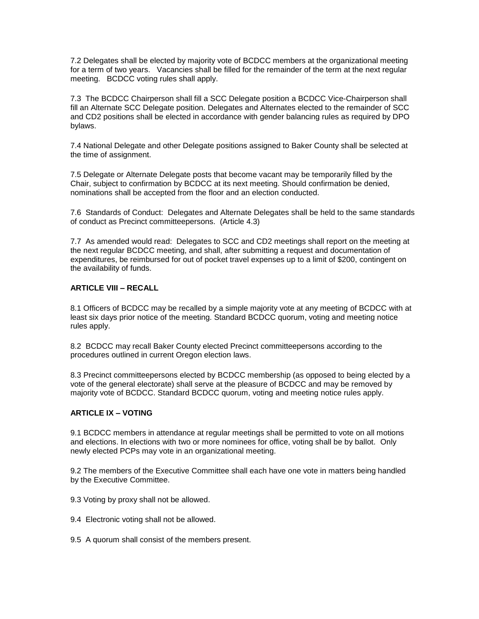7.2 Delegates shall be elected by majority vote of BCDCC members at the organizational meeting for a term of two years. Vacancies shall be filled for the remainder of the term at the next regular meeting. BCDCC voting rules shall apply.

7.3 The BCDCC Chairperson shall fill a SCC Delegate position a BCDCC Vice-Chairperson shall fill an Alternate SCC Delegate position. Delegates and Alternates elected to the remainder of SCC and CD2 positions shall be elected in accordance with gender balancing rules as required by DPO bylaws.

7.4 National Delegate and other Delegate positions assigned to Baker County shall be selected at the time of assignment.

7.5 Delegate or Alternate Delegate posts that become vacant may be temporarily filled by the Chair, subject to confirmation by BCDCC at its next meeting. Should confirmation be denied, nominations shall be accepted from the floor and an election conducted.

7.6 Standards of Conduct: Delegates and Alternate Delegates shall be held to the same standards of conduct as Precinct committeepersons. (Article 4.3)

7.7 As amended would read: Delegates to SCC and CD2 meetings shall report on the meeting at the next regular BCDCC meeting, and shall, after submitting a request and documentation of expenditures, be reimbursed for out of pocket travel expenses up to a limit of \$200, contingent on the availability of funds.

### **ARTICLE VIII – RECALL**

8.1 Officers of BCDCC may be recalled by a simple majority vote at any meeting of BCDCC with at least six days prior notice of the meeting. Standard BCDCC quorum, voting and meeting notice rules apply.

8.2 BCDCC may recall Baker County elected Precinct committeepersons according to the procedures outlined in current Oregon election laws.

8.3 Precinct committeepersons elected by BCDCC membership (as opposed to being elected by a vote of the general electorate) shall serve at the pleasure of BCDCC and may be removed by majority vote of BCDCC. Standard BCDCC quorum, voting and meeting notice rules apply.

### **ARTICLE IX – VOTING**

9.1 BCDCC members in attendance at regular meetings shall be permitted to vote on all motions and elections. In elections with two or more nominees for office, voting shall be by ballot. Only newly elected PCPs may vote in an organizational meeting.

9.2 The members of the Executive Committee shall each have one vote in matters being handled by the Executive Committee.

- 9.3 Voting by proxy shall not be allowed.
- 9.4 Electronic voting shall not be allowed.
- 9.5 A quorum shall consist of the members present.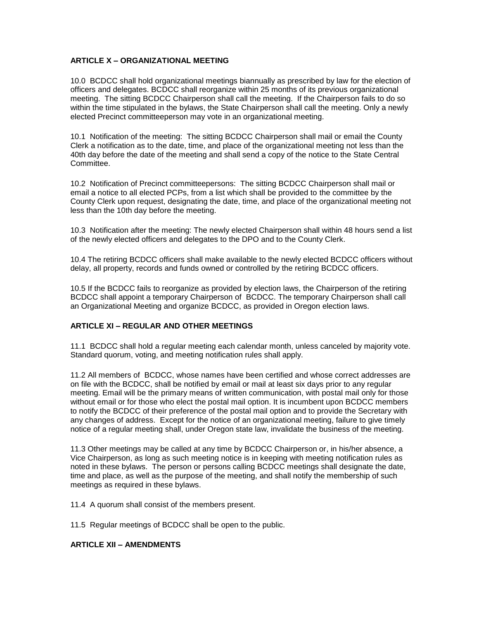# **ARTICLE X – ORGANIZATIONAL MEETING**

10.0 BCDCC shall hold organizational meetings biannually as prescribed by law for the election of officers and delegates. BCDCC shall reorganize within 25 months of its previous organizational meeting. The sitting BCDCC Chairperson shall call the meeting. If the Chairperson fails to do so within the time stipulated in the bylaws, the State Chairperson shall call the meeting. Only a newly elected Precinct committeeperson may vote in an organizational meeting.

10.1 Notification of the meeting: The sitting BCDCC Chairperson shall mail or email the County Clerk a notification as to the date, time, and place of the organizational meeting not less than the 40th day before the date of the meeting and shall send a copy of the notice to the State Central Committee.

10.2 Notification of Precinct committeepersons: The sitting BCDCC Chairperson shall mail or email a notice to all elected PCPs, from a list which shall be provided to the committee by the County Clerk upon request, designating the date, time, and place of the organizational meeting not less than the 10th day before the meeting.

10.3 Notification after the meeting: The newly elected Chairperson shall within 48 hours send a list of the newly elected officers and delegates to the DPO and to the County Clerk.

10.4 The retiring BCDCC officers shall make available to the newly elected BCDCC officers without delay, all property, records and funds owned or controlled by the retiring BCDCC officers.

10.5 If the BCDCC fails to reorganize as provided by election laws, the Chairperson of the retiring BCDCC shall appoint a temporary Chairperson of BCDCC. The temporary Chairperson shall call an Organizational Meeting and organize BCDCC, as provided in Oregon election laws.

# **ARTICLE XI – REGULAR AND OTHER MEETINGS**

11.1 BCDCC shall hold a regular meeting each calendar month, unless canceled by majority vote. Standard quorum, voting, and meeting notification rules shall apply.

11.2 All members of BCDCC, whose names have been certified and whose correct addresses are on file with the BCDCC, shall be notified by email or mail at least six days prior to any regular meeting. Email will be the primary means of written communication, with postal mail only for those without email or for those who elect the postal mail option. It is incumbent upon BCDCC members to notify the BCDCC of their preference of the postal mail option and to provide the Secretary with any changes of address. Except for the notice of an organizational meeting, failure to give timely notice of a regular meeting shall, under Oregon state law, invalidate the business of the meeting.

11.3 Other meetings may be called at any time by BCDCC Chairperson or, in his/her absence, a Vice Chairperson, as long as such meeting notice is in keeping with meeting notification rules as noted in these bylaws. The person or persons calling BCDCC meetings shall designate the date, time and place, as well as the purpose of the meeting, and shall notify the membership of such meetings as required in these bylaws.

11.4 A quorum shall consist of the members present.

11.5 Regular meetings of BCDCC shall be open to the public.

#### **ARTICLE XII – AMENDMENTS**